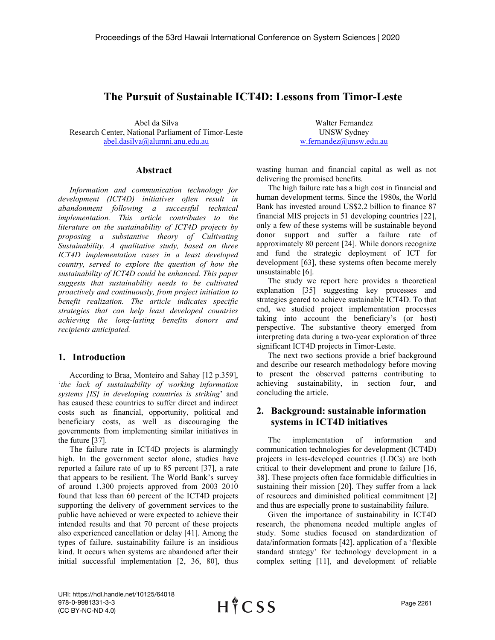# **The Pursuit of Sustainable ICT4D: Lessons from Timor-Leste**

Abel da Silva Research Center, National Parliament of Timor-Leste [abel.dasilva@alumni.anu.edu.au](mailto:abel.dasilva@alumni.anu.edu.au)

Walter Fernandez UNSW Sydney [w.fernandez@unsw.edu.au](mailto:w.fernandez@unsw.edu.au)

#### **Abstract**

*Information and communication technology for development (ICT4D) initiatives often result in abandonment following a successful technical implementation. This article contributes to the literature on the sustainability of ICT4D projects by proposing a substantive theory of Cultivating Sustainability. A qualitative study, based on three ICT4D implementation cases in a least developed country, served to explore the question of how the sustainability of ICT4D could be enhanced. This paper suggests that sustainability needs to be cultivated proactively and continuously, from project initiation to benefit realization. The article indicates specific strategies that can help least developed countries achieving the long-lasting benefits donors and recipients anticipated.*

### **1. Introduction**

According to Braa, Monteiro and Sahay [12 p.359], '*the lack of sustainability of working information systems [IS] in developing countries is striking*' and has caused these countries to suffer direct and indirect costs such as financial, opportunity, political and beneficiary costs, as well as discouraging the governments from implementing similar initiatives in the future [37].

The failure rate in ICT4D projects is alarmingly high. In the government sector alone, studies have reported a failure rate of up to 85 percent [37], a rate that appears to be resilient. The World Bank's survey of around 1,300 projects approved from 2003–2010 found that less than 60 percent of the ICT4D projects supporting the delivery of government services to the public have achieved or were expected to achieve their intended results and that 70 percent of these projects also experienced cancellation or delay [41]. Among the types of failure, sustainability failure is an insidious kind. It occurs when systems are abandoned after their initial successful implementation [2, 36, 80], thus

wasting human and financial capital as well as not delivering the promised benefits.

The high failure rate has a high cost in financial and human development terms. Since the 1980s, the World Bank has invested around US\$2.2 billion to finance 87 financial MIS projects in 51 developing countries [22], only a few of these systems will be sustainable beyond donor support and suffer a failure rate of approximately 80 percent [24]. While donors recognize and fund the strategic deployment of ICT for development [63], these systems often become merely unsustainable [6].

The study we report here provides a theoretical explanation [35] suggesting key processes and strategies geared to achieve sustainable ICT4D. To that end, we studied project implementation processes taking into account the beneficiary's (or host) perspective. The substantive theory emerged from interpreting data during a two-year exploration of three significant ICT4D projects in Timor-Leste.

The next two sections provide a brief background and describe our research methodology before moving to present the observed patterns contributing to achieving sustainability, in section four, and concluding the article.

### **2. Background: sustainable information systems in ICT4D initiatives**

The implementation of information and communication technologies for development (ICT4D) projects in less-developed countries (LDCs) are both critical to their development and prone to failure [16, 38]. These projects often face formidable difficulties in sustaining their mission [20]. They suffer from a lack of resources and diminished political commitment [2] and thus are especially prone to sustainability failure.

Given the importance of sustainability in ICT4D research, the phenomena needed multiple angles of study. Some studies focused on standardization of data/information formats [42], application of a 'flexible standard strategy' for technology development in a complex setting [11], and development of reliable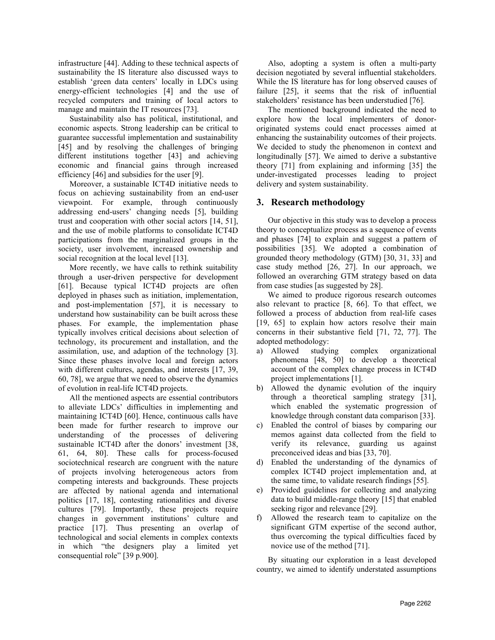infrastructure [44]. Adding to these technical aspects of sustainability the IS literature also discussed ways to establish 'green data centers' locally in LDCs using energy-efficient technologies [4] and the use of recycled computers and training of local actors to manage and maintain the IT resources [73].

Sustainability also has political, institutional, and economic aspects. Strong leadership can be critical to guarantee successful implementation and sustainability [45] and by resolving the challenges of bringing different institutions together [43] and achieving economic and financial gains through increased efficiency [46] and subsidies for the user [9].

Moreover, a sustainable ICT4D initiative needs to focus on achieving sustainability from an end-user viewpoint. For example, through continuously addressing end-users' changing needs [5], building trust and cooperation with other social actors [14, 51], and the use of mobile platforms to consolidate ICT4D participations from the marginalized groups in the society, user involvement, increased ownership and social recognition at the local level [13].

More recently, we have calls to rethink suitability through a user-driven perspective for development [61]. Because typical ICT4D projects are often deployed in phases such as initiation, implementation, and post-implementation [57], it is necessary to understand how sustainability can be built across these phases. For example, the implementation phase typically involves critical decisions about selection of technology, its procurement and installation, and the assimilation, use, and adaption of the technology [3]. Since these phases involve local and foreign actors with different cultures, agendas, and interests [17, 39, 60, 78], we argue that we need to observe the dynamics of evolution in real-life ICT4D projects.

All the mentioned aspects are essential contributors to alleviate LDCs' difficulties in implementing and maintaining ICT4D [60]. Hence, continuous calls have been made for further research to improve our understanding of the processes of delivering sustainable ICT4D after the donors' investment [38, 61, 64, 80]. These calls for process-focused sociotechnical research are congruent with the nature of projects involving heterogeneous actors from competing interests and backgrounds. These projects are affected by national agenda and international politics [17, 18], contesting rationalities and diverse cultures [79]. Importantly, these projects require changes in government institutions' culture and practice [17]. Thus presenting an overlap of technological and social elements in complex contexts in which "the designers play a limited yet consequential role" [39 p.900].

Also, adopting a system is often a multi-party decision negotiated by several influential stakeholders. While the IS literature has for long observed causes of failure [25], it seems that the risk of influential stakeholders' resistance has been understudied [76].

The mentioned background indicated the need to explore how the local implementers of donororiginated systems could enact processes aimed at enhancing the sustainability outcomes of their projects. We decided to study the phenomenon in context and longitudinally [57]. We aimed to derive a substantive theory [71] from explaining and informing [35] the under-investigated processes leading to project delivery and system sustainability.

## **3. Research methodology**

Our objective in this study was to develop a process theory to conceptualize process as a sequence of events and phases [74] to explain and suggest a pattern of possibilities [35]. We adopted a combination of grounded theory methodology (GTM) [30, 31, 33] and case study method [26, 27]. In our approach, we followed an overarching GTM strategy based on data from case studies [as suggested by 28].

We aimed to produce rigorous research outcomes also relevant to practice [8, 66]. To that effect, we followed a process of abduction from real-life cases [19, 65] to explain how actors resolve their main concerns in their substantive field [71, 72, 77]. The adopted methodology:

- a) Allowed studying complex organizational phenomena [48, 50] to develop a theoretical account of the complex change process in ICT4D project implementations [1].
- b) Allowed the dynamic evolution of the inquiry through a theoretical sampling strategy [31], which enabled the systematic progression of knowledge through constant data comparison [33].
- c) Enabled the control of biases by comparing our memos against data collected from the field to verify its relevance, guarding us against preconceived ideas and bias [33, 70].
- d) Enabled the understanding of the dynamics of complex ICT4D project implementation and, at the same time, to validate research findings [55].
- e) Provided guidelines for collecting and analyzing data to build middle-range theory [15] that enabled seeking rigor and relevance [29].
- Allowed the research team to capitalize on the significant GTM expertise of the second author, thus overcoming the typical difficulties faced by novice use of the method [71].

By situating our exploration in a least developed country, we aimed to identify understated assumptions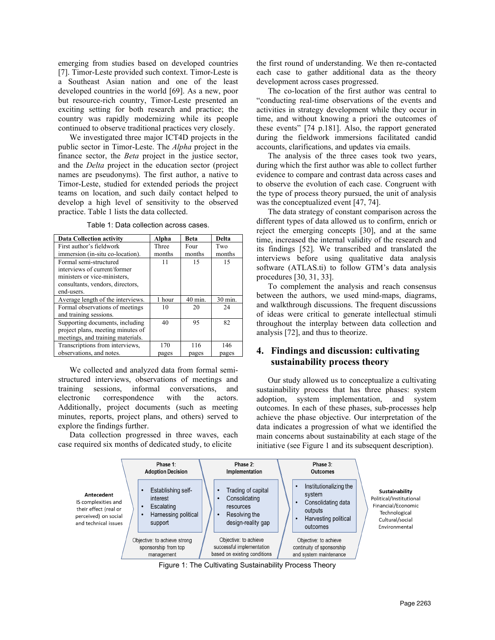emerging from studies based on developed countries [7]. Timor-Leste provided such context. Timor-Leste is a Southeast Asian nation and one of the least developed countries in the world [69]. As a new, poor but resource-rich country, Timor-Leste presented an exciting setting for both research and practice; the country was rapidly modernizing while its people continued to observe traditional practices very closely.

We investigated three major ICT4D projects in the public sector in Timor-Leste. The *Alpha* project in the finance sector, the *Beta* project in the justice sector, and the *Delta* project in the education sector (project names are pseudonyms). The first author, a native to Timor-Leste, studied for extended periods the project teams on location, and such daily contact helped to develop a high level of sensitivity to the observed practice. [Table 1](#page-2-0) lists the data collected.

<span id="page-2-0"></span>

| <b>Data Collection activity</b>   | Alpha  | <b>Beta</b> | Delta   |
|-----------------------------------|--------|-------------|---------|
| First author's fieldwork          | Three  | Four        | Two     |
| immersion (in-situ co-location).  | months | months      | months  |
| Formal semi-structured            | 11     | 15          | 15      |
| interviews of current/former      |        |             |         |
| ministers or vice-ministers.      |        |             |         |
| consultants, vendors, directors,  |        |             |         |
| end-users.                        |        |             |         |
|                                   |        |             |         |
| Average length of the interviews. | 1 hour | 40 min.     | 30 min. |
| Formal observations of meetings   | 10     | 20          | 24      |
| and training sessions.            |        |             |         |
| Supporting documents, including   | 40     | 95          | 82      |
| project plans, meeting minutes of |        |             |         |
| meetings, and training materials. |        |             |         |
| Transcriptions from interviews,   | 170    | 116         | 146     |

Table 1: Data collection across cases.

We collected and analyzed data from formal semistructured interviews, observations of meetings and training sessions, informal conversations, and electronic correspondence with the actors. Additionally, project documents (such as meeting minutes, reports, project plans, and others) served to explore the findings further.

Data collection progressed in three waves, each case required six months of dedicated study, to elicite

the first round of understanding. We then re-contacted each case to gather additional data as the theory development across cases progressed.

The co-location of the first author was central to "conducting real-time observations of the events and activities in strategy development while they occur in time, and without knowing a priori the outcomes of these events" [74 p.181]. Also, the rapport generated during the fieldwork immersions facilitated candid accounts, clarifications, and updates via emails.

The analysis of the three cases took two years, during which the first author was able to collect further evidence to compare and contrast data across cases and to observe the evolution of each case. Congruent with the type of process theory pursued, the unit of analysis was the conceptualized event [47, 74].

The data strategy of constant comparison across the different types of data allowed us to confirm, enrich or reject the emerging concepts [30], and at the same time, increased the internal validity of the research and its findings [52]. We transcribed and translated the interviews before using qualitative data analysis software (ATLAS.ti) to follow GTM's data analysis procedures [30, 31, 33].

To complement the analysis and reach consensus between the authors, we used mind-maps, diagrams, and walkthrough discussions. The frequent discussions of ideas were critical to generate intellectual stimuli throughout the interplay between data collection and analysis [72], and thus to theorize.

## **4. Findings and discussion: cultivating sustainability process theory**

Our study allowed us to conceptualize a cultivating sustainability process that has three phases: system adoption, system implementation, and system outcomes. In each of these phases, sub-processes help achieve the phase objective. Our interpretation of the data indicates a progression of what we identified the main concerns about sustainability at each stage of the initiative (see Figure 1 and its subsequent description).



Figure 1: The Cultivating Sustainability Process Theory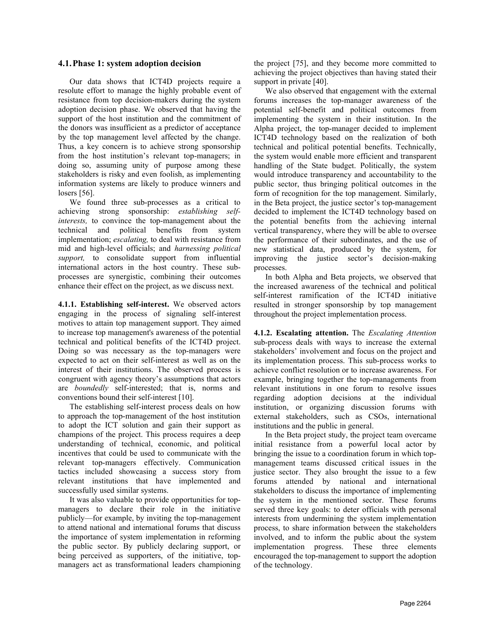#### **4.1.Phase 1: system adoption decision**

Our data shows that ICT4D projects require a resolute effort to manage the highly probable event of resistance from top decision-makers during the system adoption decision phase. We observed that having the support of the host institution and the commitment of the donors was insufficient as a predictor of acceptance by the top management level affected by the change. Thus, a key concern is to achieve strong sponsorship from the host institution's relevant top-managers; in doing so, assuming unity of purpose among these stakeholders is risky and even foolish, as implementing information systems are likely to produce winners and losers [56].

We found three sub-processes as a critical to achieving strong sponsorship: *establishing selfinterests,* to convince the top-management about the technical and political benefits from system implementation; *escalating,* to deal with resistance from mid and high-level officials; and *harnessing political support,* to consolidate support from influential international actors in the host country. These subprocesses are synergistic, combining their outcomes enhance their effect on the project, as we discuss next.

**4.1.1. Establishing self-interest.** We observed actors engaging in the process of signaling self-interest motives to attain top management support. They aimed to increase top management's awareness of the potential technical and political benefits of the ICT4D project. Doing so was necessary as the top-managers were expected to act on their self-interest as well as on the interest of their institutions. The observed process is congruent with agency theory's assumptions that actors are *boundedly* self-interested; that is, norms and conventions bound their self-interest [10].

The establishing self-interest process deals on how to approach the top-management of the host institution to adopt the ICT solution and gain their support as champions of the project. This process requires a deep understanding of technical, economic, and political incentives that could be used to communicate with the relevant top-managers effectively. Communication tactics included showcasing a success story from relevant institutions that have implemented and successfully used similar systems.

It was also valuable to provide opportunities for topmanagers to declare their role in the initiative publicly—for example, by inviting the top-management to attend national and international forums that discuss the importance of system implementation in reforming the public sector. By publicly declaring support, or being perceived as supporters, of the initiative, topmanagers act as transformational leaders championing the project [75], and they become more committed to achieving the project objectives than having stated their support in private [40].

We also observed that engagement with the external forums increases the top-manager awareness of the potential self-benefit and political outcomes from implementing the system in their institution. In the Alpha project, the top-manager decided to implement ICT4D technology based on the realization of both technical and political potential benefits. Technically, the system would enable more efficient and transparent handling of the State budget. Politically, the system would introduce transparency and accountability to the public sector, thus bringing political outcomes in the form of recognition for the top management. Similarly, in the Beta project, the justice sector's top-management decided to implement the ICT4D technology based on the potential benefits from the achieving internal vertical transparency, where they will be able to oversee the performance of their subordinates, and the use of new statistical data, produced by the system, for improving the justice sector's decision-making processes.

In both Alpha and Beta projects, we observed that the increased awareness of the technical and political self-interest ramification of the ICT4D initiative resulted in stronger sponsorship by top management throughout the project implementation process.

**4.1.2. Escalating attention.** The *Escalating Attention* sub-process deals with ways to increase the external stakeholders' involvement and focus on the project and its implementation process. This sub-process works to achieve conflict resolution or to increase awareness. For example, bringing together the top-managements from relevant institutions in one forum to resolve issues regarding adoption decisions at the individual institution, or organizing discussion forums with external stakeholders, such as CSOs, international institutions and the public in general.

In the Beta project study, the project team overcame initial resistance from a powerful local actor by bringing the issue to a coordination forum in which topmanagement teams discussed critical issues in the justice sector. They also brought the issue to a few forums attended by national and international stakeholders to discuss the importance of implementing the system in the mentioned sector. These forums served three key goals: to deter officials with personal interests from undermining the system implementation process, to share information between the stakeholders involved, and to inform the public about the system implementation progress. These three elements encouraged the top-management to support the adoption of the technology.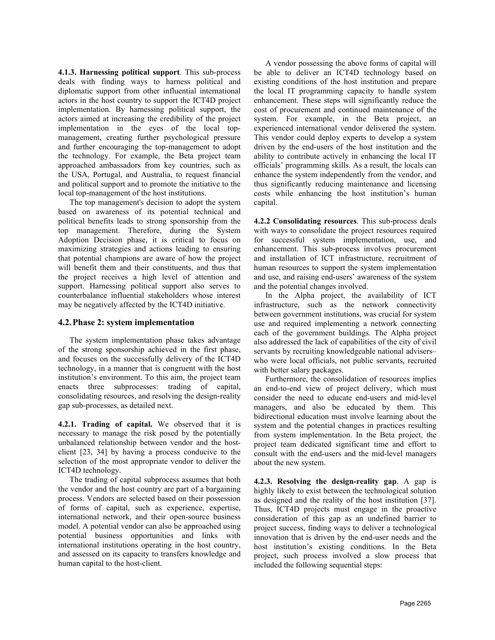**4.1.3. Harnessing political support**. This sub-process deals with finding ways to harness political and diplomatic support from other influential international actors in the host country to support the ICT4D project implementation. By harnessing political support, the actors aimed at increasing the credibility of the project implementation in the eyes of the local topmanagement, creating further psychological pressure and further encouraging the top-management to adopt the technology. For example, the Beta project team approached ambassadors from key countries, such as the USA, Portugal, and Australia, to request financial and political support and to promote the initiative to the local top-management of the host institutions.

The top management's decision to adopt the system based on awareness of its potential technical and political benefits leads to strong sponsorship from the top management. Therefore, during the System Adoption Decision phase, it is critical to focus on maximizing strategies and actions leading to ensuring that potential champions are aware of how the project will benefit them and their constituents, and thus that the project receives a high level of attention and support. Harnessing political support also serves to counterbalance influential stakeholders whose interest may be negatively affected by the ICT4D initiative.

### **4.2.Phase 2: system implementation**

The system implementation phase takes advantage of the strong sponsorship achieved in the first phase, and focuses on the successfully delivery of the ICT4D technology, in a manner that is congruent with the host institution's environment. To this aim, the project team enacts three subprocesses: trading of capital, consolidating resources, and resolving the design-reality gap sub-processes, as detailed next.

**4.2.1. Trading of capital.** We observed that it is necessary to manage the risk posed by the potentially unbalanced relationship between vendor and the hostclient [23, 34] by having a process conducive to the selection of the most appropriate vendor to deliver the ICT4D technology.

The trading of capital subprocess assumes that both the vendor and the host country are part of a bargaining process. Vendors are selected based on their possession of forms of capital, such as experience, expertise, international network, and their open-source business model. A potential vendor can also be approached using potential business opportunities and links with international institutions operating in the host country, and assessed on its capacity to transfers knowledge and human capital to the host-client.

A vendor possessing the above forms of capital will be able to deliver an ICT4D technology based on existing conditions of the host institution and prepare the local IT programming capacity to handle system enhancement. These steps will significantly reduce the cost of procurement and continued maintenance of the system. For example, in the Beta project, an experienced international vendor delivered the system. This vendor could deploy experts to develop a system driven by the end-users of the host institution and the ability to contribute actively in enhancing the local IT officials' programming skills. As a result, the locals can enhance the system independently from the vendor, and thus significantly reducing maintenance and licensing costs while enhancing the host institution's human capital.

**4.2.2 Consolidating resources**. This sub-process deals with ways to consolidate the project resources required for successful system implementation, use, and enhancement. This sub-process involves procurement and installation of ICT infrastructure, recruitment of human resources to support the system implementation and use, and raising end-users' awareness of the system and the potential changes involved.

In the Alpha project, the availability of ICT infrastructure, such as the network connectivity between government institutions, was crucial for system use and required implementing a network connecting each of the government buildings. The Alpha project also addressed the lack of capabilities of the city of civil servants by recruiting knowledgeable national advisers– who were local officials, not public servants, recruited with better salary packages.

Furthermore, the consolidation of resources implies an end-to-end view of project delivery, which must consider the need to educate end-users and mid-level managers, and also be educated by them. This bidirectional education must involve learning about the system and the potential changes in practices resulting from system implementation. In the Beta project, the project team dedicated significant time and effort to consult with the end-users and the mid-level managers about the new system.

**4.2.3. Resolving the design-reality gap**. A gap is highly likely to exist between the technological solution as designed and the reality of the host institution [37]. Thus, ICT4D projects must engage in the proactive consideration of this gap as an undefined barrier to project success, finding ways to deliver a technological innovation that is driven by the end-user needs and the host institution's existing conditions. In the Beta project, such process involved a slow process that included the following sequential steps: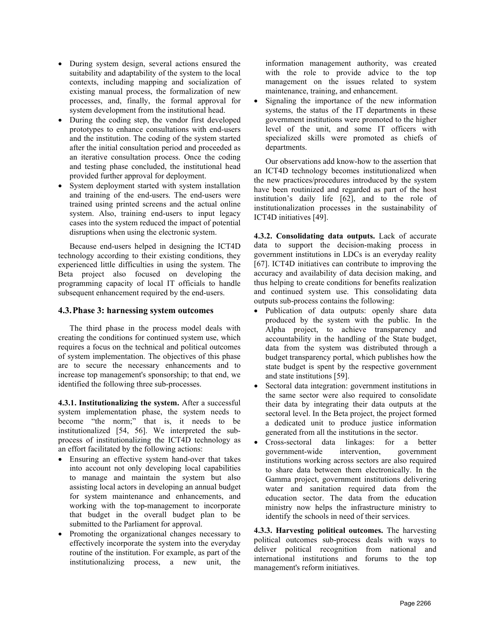- During system design, several actions ensured the suitability and adaptability of the system to the local contexts, including mapping and socialization of existing manual process, the formalization of new processes, and, finally, the formal approval for system development from the institutional head.
- During the coding step, the vendor first developed prototypes to enhance consultations with end-users and the institution. The coding of the system started after the initial consultation period and proceeded as an iterative consultation process. Once the coding and testing phase concluded, the institutional head provided further approval for deployment.
- System deployment started with system installation and training of the end-users. The end-users were trained using printed screens and the actual online system. Also, training end-users to input legacy cases into the system reduced the impact of potential disruptions when using the electronic system.

Because end-users helped in designing the ICT4D technology according to their existing conditions, they experienced little difficulties in using the system. The Beta project also focused on developing the programming capacity of local IT officials to handle subsequent enhancement required by the end-users.

### **4.3.Phase 3: harnessing system outcomes**

The third phase in the process model deals with creating the conditions for continued system use, which requires a focus on the technical and political outcomes of system implementation. The objectives of this phase are to secure the necessary enhancements and to increase top management's sponsorship; to that end, we identified the following three sub-processes.

**4.3.1. Institutionalizing the system.** After a successful system implementation phase, the system needs to become "the norm;" that is, it needs to be institutionalized [54, 56]. We interpreted the subprocess of institutionalizing the ICT4D technology as an effort facilitated by the following actions:

- Ensuring an effective system hand-over that takes into account not only developing local capabilities to manage and maintain the system but also assisting local actors in developing an annual budget for system maintenance and enhancements, and working with the top-management to incorporate that budget in the overall budget plan to be submitted to the Parliament for approval.
- Promoting the organizational changes necessary to effectively incorporate the system into the everyday routine of the institution. For example, as part of the institutionalizing process, a new unit, the

information management authority, was created with the role to provide advice to the top management on the issues related to system maintenance, training, and enhancement.

Signaling the importance of the new information systems, the status of the IT departments in these government institutions were promoted to the higher level of the unit, and some IT officers with specialized skills were promoted as chiefs of departments.

Our observations add know-how to the assertion that an ICT4D technology becomes institutionalized when the new practices/procedures introduced by the system have been routinized and regarded as part of the host institution's daily life [62], and to the role of institutionalization processes in the sustainability of ICT4D initiatives [49].

**4.3.2. Consolidating data outputs.** Lack of accurate data to support the decision-making process in government institutions in LDCs is an everyday reality [67]. ICT4D initiatives can contribute to improving the accuracy and availability of data decision making, and thus helping to create conditions for benefits realization and continued system use. This consolidating data outputs sub-process contains the following:

- Publication of data outputs: openly share data produced by the system with the public. In the Alpha project, to achieve transparency and accountability in the handling of the State budget, data from the system was distributed through a budget transparency portal, which publishes how the state budget is spent by the respective government and state institutions [59].
- Sectoral data integration: government institutions in the same sector were also required to consolidate their data by integrating their data outputs at the sectoral level. In the Beta project, the project formed a dedicated unit to produce justice information generated from all the institutions in the sector.
- Cross-sectoral data linkages: for a better government-wide intervention, government institutions working across sectors are also required to share data between them electronically. In the Gamma project, government institutions delivering water and sanitation required data from the education sector. The data from the education ministry now helps the infrastructure ministry to identify the schools in need of their services.

**4.3.3. Harvesting political outcomes.** The harvesting political outcomes sub-process deals with ways to deliver political recognition from national and international institutions and forums to the top management's reform initiatives.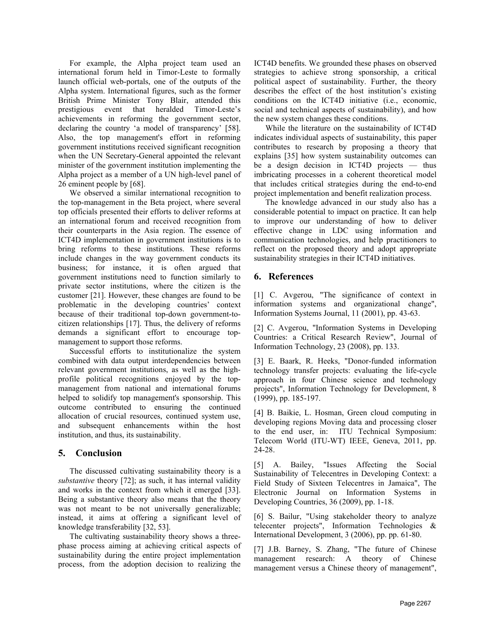For example, the Alpha project team used an international forum held in Timor-Leste to formally launch official web-portals, one of the outputs of the Alpha system. International figures, such as the former British Prime Minister Tony Blair, attended this prestigious event that heralded Timor-Leste's achievements in reforming the government sector, declaring the country 'a model of transparency' [58]. Also, the top management's effort in reforming government institutions received significant recognition when the UN Secretary-General appointed the relevant minister of the government institution implementing the Alpha project as a member of a UN high-level panel of 26 eminent people by [68].

We observed a similar international recognition to the top-management in the Beta project, where several top officials presented their efforts to deliver reforms at an international forum and received recognition from their counterparts in the Asia region. The essence of ICT4D implementation in government institutions is to bring reforms to these institutions. These reforms include changes in the way government conducts its business; for instance, it is often argued that government institutions need to function similarly to private sector institutions, where the citizen is the customer [21]. However, these changes are found to be problematic in the developing countries' context because of their traditional top-down government-tocitizen relationships [17]. Thus, the delivery of reforms demands a significant effort to encourage topmanagement to support those reforms.

Successful efforts to institutionalize the system combined with data output interdependencies between relevant government institutions, as well as the highprofile political recognitions enjoyed by the topmanagement from national and international forums helped to solidify top management's sponsorship. This outcome contributed to ensuring the continued allocation of crucial resources, continued system use, and subsequent enhancements within the host institution, and thus, its sustainability.

## **5. Conclusion**

The discussed cultivating sustainability theory is a *substantive* theory [72]; as such, it has internal validity and works in the context from which it emerged [33]. Being a substantive theory also means that the theory was not meant to be not universally generalizable; instead, it aims at offering a significant level of knowledge transferability [32, 53].

The cultivating sustainability theory shows a threephase process aiming at achieving critical aspects of sustainability during the entire project implementation process, from the adoption decision to realizing the ICT4D benefits. We grounded these phases on observed strategies to achieve strong sponsorship, a critical political aspect of sustainability. Further, the theory describes the effect of the host institution's existing conditions on the ICT4D initiative (i.e., economic, social and technical aspects of sustainability), and how the new system changes these conditions.

While the literature on the sustainability of ICT4D indicates individual aspects of sustainability, this paper contributes to research by proposing a theory that explains [35] how system sustainability outcomes can be a design decision in ICT4D projects — thus imbricating processes in a coherent theoretical model that includes critical strategies during the end-to-end project implementation and benefit realization process.

The knowledge advanced in our study also has a considerable potential to impact on practice. It can help to improve our understanding of how to deliver effective change in LDC using information and communication technologies, and help practitioners to reflect on the proposed theory and adopt appropriate sustainability strategies in their ICT4D initiatives.

## **6. References**

[1] C. Avgerou, "The significance of context in information systems and organizational change", Information Systems Journal, 11 (2001), pp. 43-63.

[2] C. Avgerou, "Information Systems in Developing Countries: a Critical Research Review", Journal of Information Technology, 23 (2008), pp. 133.

[3] E. Baark, R. Heeks, "Donor-funded information technology transfer projects: evaluating the life-cycle approach in four Chinese science and technology projects", Information Technology for Development, 8 (1999), pp. 185-197.

[4] B. Baikie, L. Hosman, Green cloud computing in developing regions Moving data and processing closer to the end user, in: ITU Technical Symposium: Telecom World (ITU-WT) IEEE, Geneva, 2011, pp. 24-28.

[5] A. Bailey, "Issues Affecting the Social Sustainability of Telecentres in Developing Context: a Field Study of Sixteen Telecentres in Jamaica", The Electronic Journal on Information Systems in Developing Countries, 36 (2009), pp. 1-18.

[6] S. Bailur, "Using stakeholder theory to analyze telecenter projects", Information Technologies & International Development, 3 (2006), pp. pp. 61-80.

[7] J.B. Barney, S. Zhang, "The future of Chinese management research: A theory of Chinese management versus a Chinese theory of management",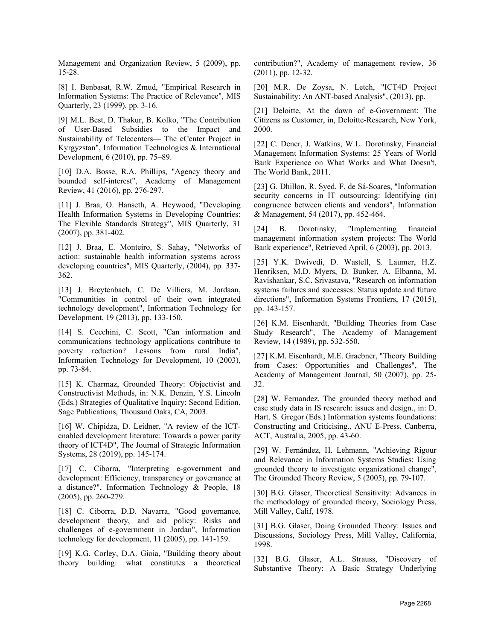Management and Organization Review, 5 (2009), pp. 15-28.

[8] I. Benbasat, R.W. Zmud, "Empirical Research in Information Systems: The Practice of Relevance", MIS Quarterly, 23 (1999), pp. 3-16.

[9] M.L. Best, D. Thakur, B. Kolko, "The Contribution of User-Based Subsidies to the Impact and Sustainability of Telecenters— The eCenter Project in Kyrgyzstan", Information Technologies & International Development, 6 (2010), pp. 75–89.

[10] D.A. Bosse, R.A. Phillips, "Agency theory and bounded self-interest", Academy of Management Review, 41 (2016), pp. 276-297.

[11] J. Braa, O. Hanseth, A. Heywood, "Developing Health Information Systems in Developing Countries: The Flexible Standards Strategy", MIS Quarterly, 31 (2007), pp. 381-402.

[12] J. Braa, E. Monteiro, S. Sahay, "Networks of action: sustainable health information systems across developing countries", MIS Quarterly, (2004), pp. 337- 362.

[13] J. Breytenbach, C. De Villiers, M. Jordaan, "Communities in control of their own integrated technology development", Information Technology for Development, 19 (2013), pp. 133-150.

[14] S. Cecchini, C. Scott, "Can information and communications technology applications contribute to poverty reduction? Lessons from rural India", Information Technology for Development, 10 (2003), pp. 73-84.

[15] K. Charmaz, Grounded Theory: Objectivist and Constructivist Methods, in: N.K. Denzin, Y.S. Lincoln (Eds.) Strategies of Qualitative Inquiry: Second Edition, Sage Publications, Thousand Oaks, CA, 2003.

[16] W. Chipidza, D. Leidner, "A review of the ICTenabled development literature: Towards a power parity theory of ICT4D", The Journal of Strategic Information Systems, 28 (2019), pp. 145-174.

[17] C. Ciborra, "Interpreting e-government and development: Efficiency, transparency or governance at a distance?", Information Technology & People, 18 (2005), pp. 260-279.

[18] C. Ciborra, D.D. Navarra, "Good governance, development theory, and aid policy: Risks and challenges of e-government in Jordan", Information technology for development, 11 (2005), pp. 141-159.

[19] K.G. Corley, D.A. Gioia, "Building theory about theory building: what constitutes a theoretical

contribution?", Academy of management review, 36 (2011), pp. 12-32.

[20] M.R. De Zoysa, N. Letch, "ICT4D Project Sustainability: An ANT-based Analysis", (2013), pp.

[21] Deloitte, At the dawn of e-Government: The Citizens as Customer, in, Deloitte-Research, New York, 2000.

[22] C. Dener, J. Watkins, W.L. Dorotinsky, Financial Management Information Systems: 25 Years of World Bank Experience on What Works and What Doesn't, The World Bank, 2011.

[23] G. Dhillon, R. Syed, F. de Sá-Soares, "Information security concerns in IT outsourcing: Identifying (in) congruence between clients and vendors", Information & Management, 54 (2017), pp. 452-464.

[24] B. Dorotinsky, "Implementing financial management information system projects: The World Bank experience", Retrieved April, 6 (2003), pp. 2013.

[25] Y.K. Dwivedi, D. Wastell, S. Laumer, H.Z. Henriksen, M.D. Myers, D. Bunker, A. Elbanna, M. Ravishankar, S.C. Srivastava, "Research on information systems failures and successes: Status update and future directions", Information Systems Frontiers, 17 (2015), pp. 143-157.

[26] K.M. Eisenhardt, "Building Theories from Case Study Research", The Academy of Management Review, 14 (1989), pp. 532-550.

[27] K.M. Eisenhardt, M.E. Graebner, "Theory Building from Cases: Opportunities and Challenges", The Academy of Management Journal, 50 (2007), pp. 25- 32.

[28] W. Fernandez, The grounded theory method and case study data in IS research: issues and design., in: D. Hart, S. Gregor (Eds.) Information systems foundations: Constructing and Criticising., ANU E-Press, Canberra, ACT, Australia, 2005, pp. 43-60.

[29] W. Fernández, H. Lehmann, "Achieving Rigour and Relevance in Information Systems Studies: Using grounded theory to investigate organizational change", The Grounded Theory Review, 5 (2005), pp. 79-107.

[30] B.G. Glaser, Theoretical Sensitivity: Advances in the methodology of grounded theory, Sociology Press, Mill Valley, Calif, 1978.

[31] B.G. Glaser, Doing Grounded Theory: Issues and Discussions, Sociology Press, Mill Valley, California, 1998.

[32] B.G. Glaser, A.L. Strauss, "Discovery of Substantive Theory: A Basic Strategy Underlying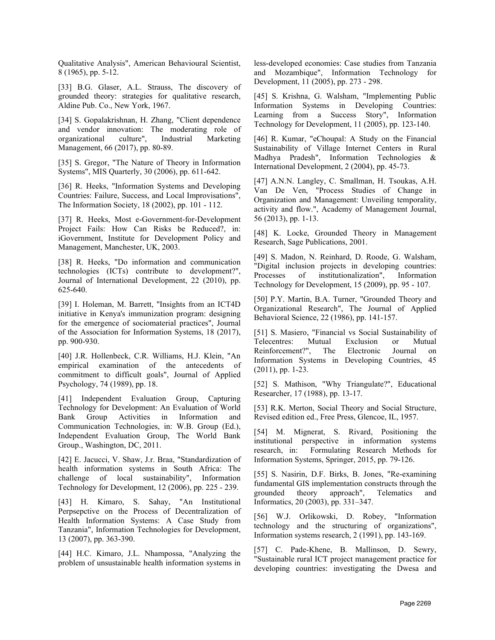Qualitative Analysis", American Behavioural Scientist, 8 (1965), pp. 5-12.

[33] B.G. Glaser, A.L. Strauss, The discovery of grounded theory: strategies for qualitative research, Aldine Pub. Co., New York, 1967.

[34] S. Gopalakrishnan, H. Zhang, "Client dependence and vendor innovation: The moderating role of organizational culture", Industrial Marketing Management, 66 (2017), pp. 80-89.

[35] S. Gregor, "The Nature of Theory in Information Systems", MIS Quarterly, 30 (2006), pp. 611-642.

[36] R. Heeks, "Information Systems and Developing Countries: Failure, Success, and Local Improvisations", The Information Society, 18 (2002), pp. 101 - 112.

[37] R. Heeks, Most e-Government-for-Development Project Fails: How Can Risks be Reduced?, in: iGovernment, Institute for Development Policy and Management, Manchester, UK, 2003.

[38] R. Heeks, "Do information and communication technologies (ICTs) contribute to development?", Journal of International Development, 22 (2010), pp. 625-640.

[39] I. Holeman, M. Barrett, "Insights from an ICT4D initiative in Kenya's immunization program: designing for the emergence of sociomaterial practices", Journal of the Association for Information Systems, 18 (2017), pp. 900-930.

[40] J.R. Hollenbeck, C.R. Williams, H.J. Klein, "An empirical examination of the antecedents of commitment to difficult goals", Journal of Applied Psychology, 74 (1989), pp. 18.

[41] Independent Evaluation Group, Capturing Technology for Development: An Evaluation of World Bank Group Activities in Information and Communication Technologies, in: W.B. Group (Ed.), Independent Evaluation Group, The World Bank Group., Washington, DC, 2011.

[42] E. Jacucci, V. Shaw, J.r. Braa, "Standardization of health information systems in South Africa: The challenge of local sustainability", Information Technology for Development, 12 (2006), pp. 225 - 239.

[43] H. Kimaro, S. Sahay, "An Institutional Perpsepctive on the Process of Decentralization of Health Information Systems: A Case Study from Tanzania", Information Technologies for Development, 13 (2007), pp. 363-390.

[44] H.C. Kimaro, J.L. Nhampossa, "Analyzing the problem of unsustainable health information systems in less-developed economies: Case studies from Tanzania and Mozambique", Information Technology for Development, 11 (2005), pp. 273 - 298.

[45] S. Krishna, G. Walsham, "Implementing Public Information Systems in Developing Countries: Learning from a Success Story", Information Technology for Development, 11 (2005), pp. 123-140.

[46] R. Kumar, "eChoupal: A Study on the Financial Sustainability of Village Internet Centers in Rural Madhya Pradesh", Information Technologies & International Development, 2 (2004), pp. 45-73.

[47] A.N.N. Langley, C. Smallman, H. Tsoukas, A.H. Van De Ven, "Process Studies of Change in Organization and Management: Unveiling temporality, activity and flow.", Academy of Management Journal, 56 (2013), pp. 1-13.

[48] K. Locke, Grounded Theory in Management Research, Sage Publications, 2001.

[49] S. Madon, N. Reinhard, D. Roode, G. Walsham, "Digital inclusion projects in developing countries: Processes of institutionalization", Information Technology for Development, 15 (2009), pp. 95 - 107.

[50] P.Y. Martin, B.A. Turner, "Grounded Theory and Organizational Research", The Journal of Applied Behavioral Science, 22 (1986), pp. 141-157.

[51] S. Masiero, "Financial vs Social Sustainability of Telecentres: Mutual Exclusion or Mutual Reinforcement?", The Electronic Journal on Information Systems in Developing Countries, 45 (2011), pp. 1-23.

[52] S. Mathison, "Why Triangulate?", Educational Researcher, 17 (1988), pp. 13-17.

[53] R.K. Merton, Social Theory and Social Structure, Revised edition ed., Free Press, Glencoe, IL, 1957.

[54] M. Mignerat, S. Rivard, Positioning the institutional perspective in information systems research, in: Formulating Research Methods for Information Systems, Springer, 2015, pp. 79-126.

[55] S. Nasirin, D.F. Birks, B. Jones, "Re-examining fundamental GIS implementation constructs through the grounded theory approach", Telematics and Informatics, 20 (2003), pp. 331–347.

[56] W.J. Orlikowski, D. Robey, "Information technology and the structuring of organizations", Information systems research, 2 (1991), pp. 143-169.

[57] C. Pade-Khene, B. Mallinson, D. Sewry, "Sustainable rural ICT project management practice for developing countries: investigating the Dwesa and